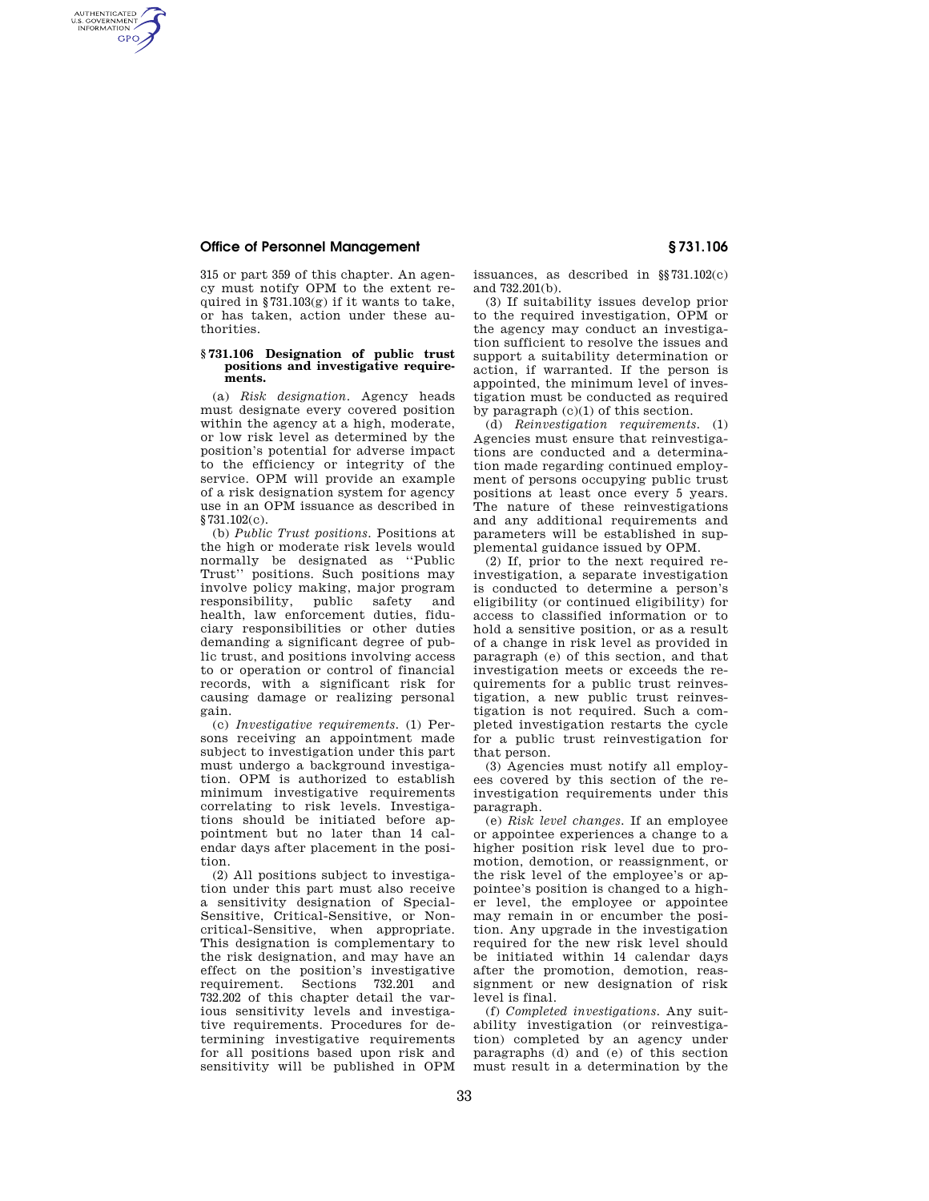## **Office of Personnel Management § 731.106**

AUTHENTICATED<br>U.S. GOVERNMENT<br>INFORMATION **GPO** 

> 315 or part 359 of this chapter. An agency must notify OPM to the extent required in §731.103(g) if it wants to take, or has taken, action under these authorities.

## **§ 731.106 Designation of public trust positions and investigative requirements.**

(a) *Risk designation*. Agency heads must designate every covered position within the agency at a high, moderate, or low risk level as determined by the position's potential for adverse impact to the efficiency or integrity of the service. OPM will provide an example of a risk designation system for agency use in an OPM issuance as described in §731.102(c).

(b) *Public Trust positions*. Positions at the high or moderate risk levels would normally be designated as ''Public Trust'' positions. Such positions may involve policy making, major program responsibility, public safety and health, law enforcement duties, fiduciary responsibilities or other duties demanding a significant degree of public trust, and positions involving access to or operation or control of financial records, with a significant risk for causing damage or realizing personal gain.

(c) *Investigative requirements.* (1) Persons receiving an appointment made subject to investigation under this part must undergo a background investigation. OPM is authorized to establish minimum investigative requirements correlating to risk levels. Investigations should be initiated before appointment but no later than 14 calendar days after placement in the position.

(2) All positions subject to investigation under this part must also receive a sensitivity designation of Special-Sensitive, Critical-Sensitive, or Noncritical-Sensitive, when appropriate. This designation is complementary to the risk designation, and may have an effect on the position's investigative<br>requirement. Sections 732.201 and Sections 732.201 and 732.202 of this chapter detail the various sensitivity levels and investigative requirements. Procedures for determining investigative requirements for all positions based upon risk and sensitivity will be published in OPM

issuances, as described in §§731.102(c) and 732.201(b).

(3) If suitability issues develop prior to the required investigation, OPM or the agency may conduct an investigation sufficient to resolve the issues and support a suitability determination or action, if warranted. If the person is appointed, the minimum level of investigation must be conducted as required by paragraph  $(c)(1)$  of this section.

(d) *Reinvestigation requirements.* (1) Agencies must ensure that reinvestigations are conducted and a determination made regarding continued employment of persons occupying public trust positions at least once every 5 years. The nature of these reinvestigations and any additional requirements and parameters will be established in supplemental guidance issued by OPM.

(2) If, prior to the next required reinvestigation, a separate investigation is conducted to determine a person's eligibility (or continued eligibility) for access to classified information or to hold a sensitive position, or as a result of a change in risk level as provided in paragraph (e) of this section, and that investigation meets or exceeds the requirements for a public trust reinvestigation, a new public trust reinvestigation is not required. Such a completed investigation restarts the cycle for a public trust reinvestigation for that person.

(3) Agencies must notify all employees covered by this section of the reinvestigation requirements under this paragraph.

(e) *Risk level changes.* If an employee or appointee experiences a change to a higher position risk level due to promotion, demotion, or reassignment, or the risk level of the employee's or appointee's position is changed to a higher level, the employee or appointee may remain in or encumber the position. Any upgrade in the investigation required for the new risk level should be initiated within 14 calendar days after the promotion, demotion, reassignment or new designation of risk level is final.

(f) *Completed investigations.* Any suitability investigation (or reinvestigation) completed by an agency under paragraphs (d) and (e) of this section must result in a determination by the